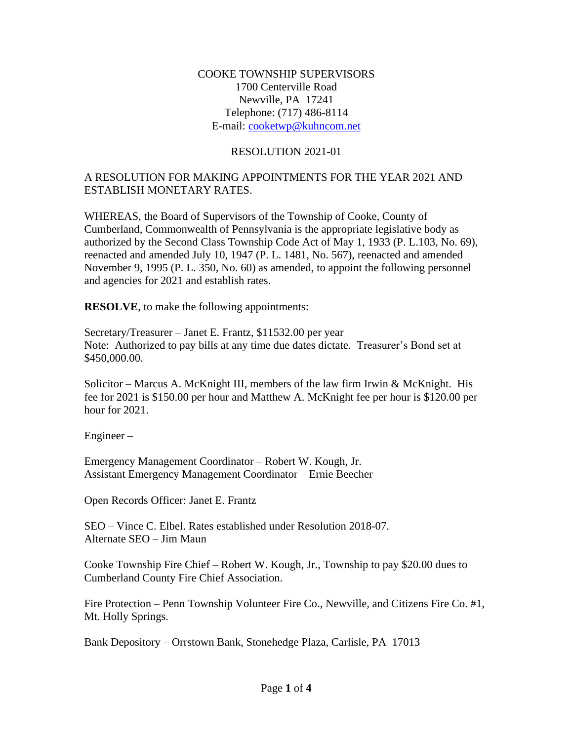#### COOKE TOWNSHIP SUPERVISORS 1700 Centerville Road Newville, PA 17241 Telephone: (717) 486-8114 E-mail: [cooketwp@kuhncom.net](mailto:cooketwp@kuhncom.net)

### RESOLUTION 2021-01

### A RESOLUTION FOR MAKING APPOINTMENTS FOR THE YEAR 2021 AND ESTABLISH MONETARY RATES.

WHEREAS, the Board of Supervisors of the Township of Cooke, County of Cumberland, Commonwealth of Pennsylvania is the appropriate legislative body as authorized by the Second Class Township Code Act of May 1, 1933 (P. L.103, No. 69), reenacted and amended July 10, 1947 (P. L. 1481, No. 567), reenacted and amended November 9, 1995 (P. L. 350, No. 60) as amended, to appoint the following personnel and agencies for 2021 and establish rates.

**RESOLVE**, to make the following appointments:

Secretary/Treasurer – Janet E. Frantz, \$11532.00 per year Note: Authorized to pay bills at any time due dates dictate. Treasurer's Bond set at \$450,000.00.

Solicitor – Marcus A. McKnight III, members of the law firm Irwin & McKnight. His fee for 2021 is \$150.00 per hour and Matthew A. McKnight fee per hour is \$120.00 per hour for 2021.

Engineer –

Emergency Management Coordinator – Robert W. Kough, Jr. Assistant Emergency Management Coordinator – Ernie Beecher

Open Records Officer: Janet E. Frantz

SEO – Vince C. Elbel. Rates established under Resolution 2018-07. Alternate SEO – Jim Maun

Cooke Township Fire Chief – Robert W. Kough, Jr., Township to pay \$20.00 dues to Cumberland County Fire Chief Association.

Fire Protection – Penn Township Volunteer Fire Co., Newville, and Citizens Fire Co. #1, Mt. Holly Springs.

Bank Depository – Orrstown Bank, Stonehedge Plaza, Carlisle, PA 17013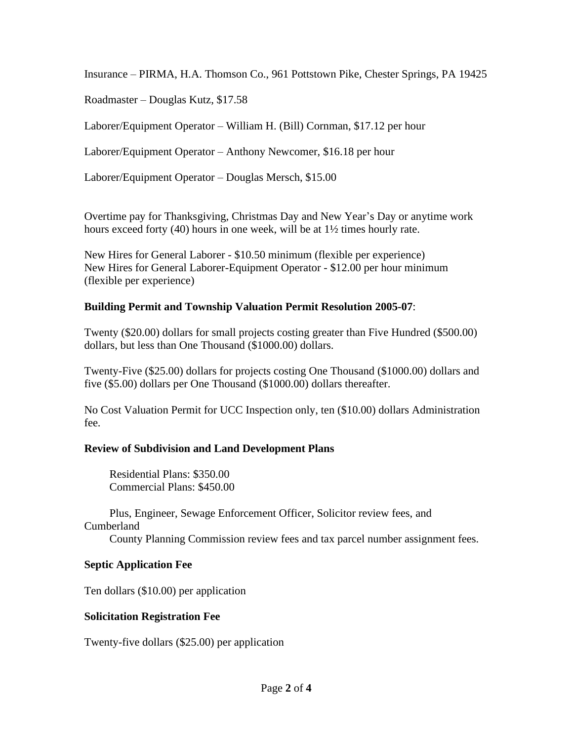Insurance – PIRMA, H.A. Thomson Co., 961 Pottstown Pike, Chester Springs, PA 19425

Roadmaster – Douglas Kutz, \$17.58

Laborer/Equipment Operator – William H. (Bill) Cornman, \$17.12 per hour

Laborer/Equipment Operator – Anthony Newcomer, \$16.18 per hour

Laborer/Equipment Operator – Douglas Mersch, \$15.00

Overtime pay for Thanksgiving, Christmas Day and New Year's Day or anytime work hours exceed forty (40) hours in one week, will be at 1½ times hourly rate.

New Hires for General Laborer - \$10.50 minimum (flexible per experience) New Hires for General Laborer-Equipment Operator - \$12.00 per hour minimum (flexible per experience)

### **Building Permit and Township Valuation Permit Resolution 2005-07**:

Twenty (\$20.00) dollars for small projects costing greater than Five Hundred (\$500.00) dollars, but less than One Thousand (\$1000.00) dollars.

Twenty-Five (\$25.00) dollars for projects costing One Thousand (\$1000.00) dollars and five (\$5.00) dollars per One Thousand (\$1000.00) dollars thereafter.

No Cost Valuation Permit for UCC Inspection only, ten (\$10.00) dollars Administration fee.

## **Review of Subdivision and Land Development Plans**

 Residential Plans: \$350.00 Commercial Plans: \$450.00

 Plus, Engineer, Sewage Enforcement Officer, Solicitor review fees, and Cumberland County Planning Commission review fees and tax parcel number assignment fees.

## **Septic Application Fee**

Ten dollars (\$10.00) per application

## **Solicitation Registration Fee**

Twenty-five dollars (\$25.00) per application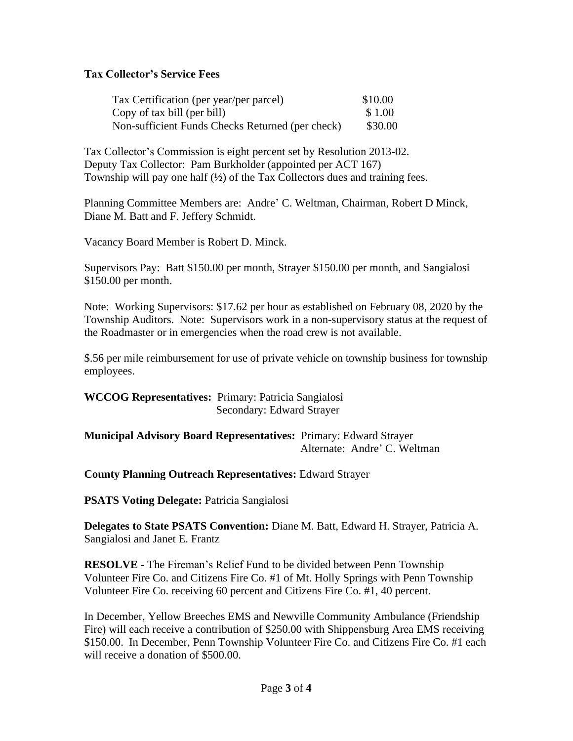### **Tax Collector's Service Fees**

| Tax Certification (per year/per parcel)          | \$10.00 |
|--------------------------------------------------|---------|
| Copy of tax bill (per bill)                      | \$1.00  |
| Non-sufficient Funds Checks Returned (per check) | \$30.00 |

Tax Collector's Commission is eight percent set by Resolution 2013-02. Deputy Tax Collector: Pam Burkholder (appointed per ACT 167) Township will pay one half (½) of the Tax Collectors dues and training fees.

Planning Committee Members are: Andre' C. Weltman, Chairman, Robert D Minck, Diane M. Batt and F. Jeffery Schmidt.

Vacancy Board Member is Robert D. Minck.

Supervisors Pay: Batt \$150.00 per month, Strayer \$150.00 per month, and Sangialosi \$150.00 per month.

Note: Working Supervisors: \$17.62 per hour as established on February 08, 2020 by the Township Auditors. Note: Supervisors work in a non-supervisory status at the request of the Roadmaster or in emergencies when the road crew is not available.

\$.56 per mile reimbursement for use of private vehicle on township business for township employees.

**WCCOG Representatives:** Primary: Patricia Sangialosi Secondary: Edward Strayer

**Municipal Advisory Board Representatives:** Primary: Edward Strayer Alternate: Andre' C. Weltman

**County Planning Outreach Representatives:** Edward Strayer

**PSATS Voting Delegate:** Patricia Sangialosi

**Delegates to State PSATS Convention:** Diane M. Batt, Edward H. Strayer, Patricia A. Sangialosi and Janet E. Frantz

**RESOLVE** - The Fireman's Relief Fund to be divided between Penn Township Volunteer Fire Co. and Citizens Fire Co. #1 of Mt. Holly Springs with Penn Township Volunteer Fire Co. receiving 60 percent and Citizens Fire Co. #1, 40 percent.

In December, Yellow Breeches EMS and Newville Community Ambulance (Friendship Fire) will each receive a contribution of \$250.00 with Shippensburg Area EMS receiving \$150.00. In December, Penn Township Volunteer Fire Co. and Citizens Fire Co. #1 each will receive a donation of \$500.00.